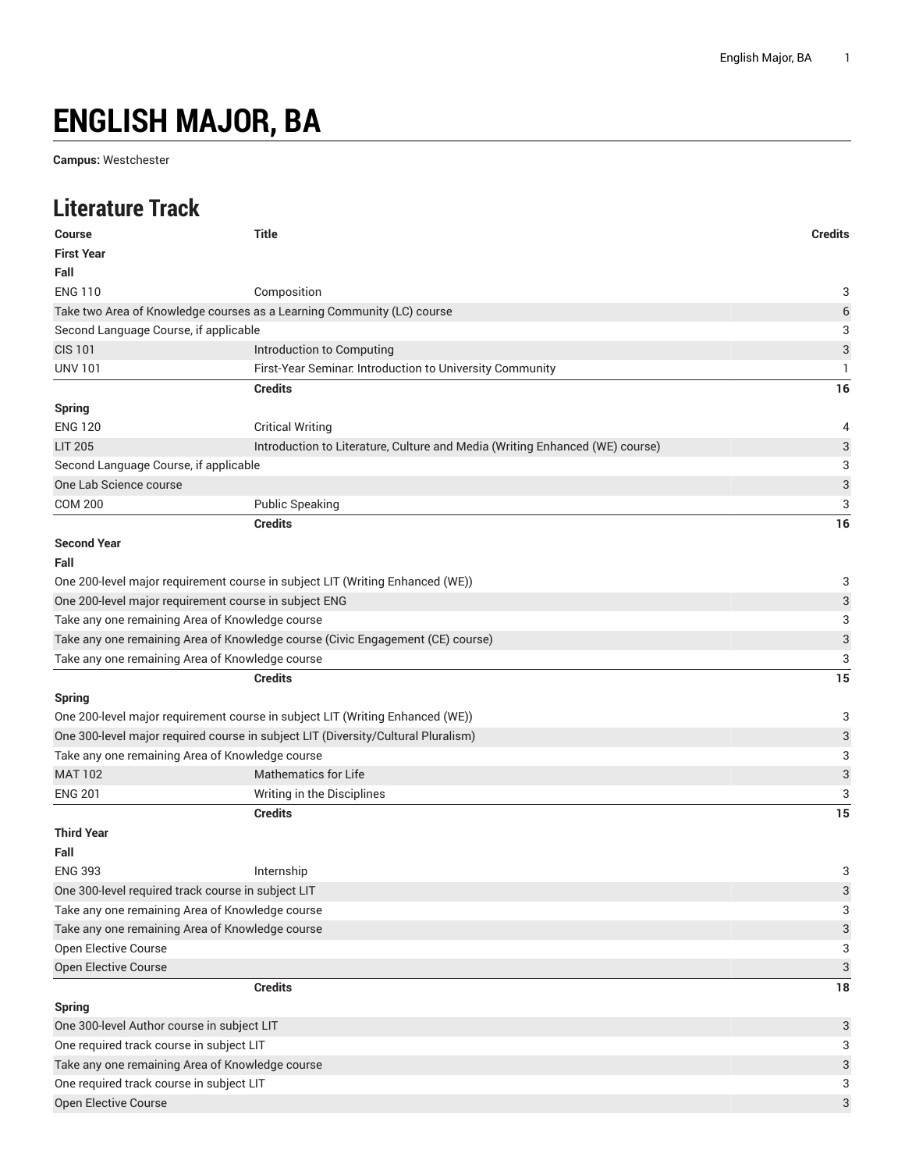## **ENGLISH MAJOR, BA**

**Campus:** Westchester

## **Literature Track**

| <b>Course</b>                                         | <b>Title</b>                                                                      | <b>Credits</b>            |  |
|-------------------------------------------------------|-----------------------------------------------------------------------------------|---------------------------|--|
| <b>First Year</b>                                     |                                                                                   |                           |  |
| Fall                                                  |                                                                                   |                           |  |
| <b>ENG 110</b>                                        | Composition                                                                       | 3                         |  |
|                                                       | Take two Area of Knowledge courses as a Learning Community (LC) course            | $\,$ 6 $\,$               |  |
| Second Language Course, if applicable                 |                                                                                   | 3                         |  |
| <b>CIS 101</b>                                        | Introduction to Computing                                                         | 3                         |  |
| <b>UNV 101</b>                                        | First-Year Seminar. Introduction to University Community                          | 1                         |  |
|                                                       | <b>Credits</b>                                                                    | 16                        |  |
| <b>Spring</b>                                         |                                                                                   |                           |  |
| <b>ENG 120</b>                                        | <b>Critical Writing</b>                                                           | 4                         |  |
| <b>LIT 205</b>                                        | Introduction to Literature, Culture and Media (Writing Enhanced (WE) course)      | 3                         |  |
| Second Language Course, if applicable                 |                                                                                   | 3                         |  |
| One Lab Science course                                |                                                                                   | 3                         |  |
| <b>COM 200</b>                                        | <b>Public Speaking</b>                                                            | 3                         |  |
|                                                       | <b>Credits</b>                                                                    | 16                        |  |
| <b>Second Year</b>                                    |                                                                                   |                           |  |
| Fall                                                  |                                                                                   |                           |  |
|                                                       | One 200-level major requirement course in subject LIT (Writing Enhanced (WE))     | 3                         |  |
| One 200-level major requirement course in subject ENG |                                                                                   |                           |  |
| Take any one remaining Area of Knowledge course       |                                                                                   |                           |  |
|                                                       | Take any one remaining Area of Knowledge course (Civic Engagement (CE) course)    | $\ensuremath{\mathsf{3}}$ |  |
| Take any one remaining Area of Knowledge course       |                                                                                   | 3                         |  |
|                                                       | <b>Credits</b>                                                                    | 15                        |  |
| <b>Spring</b>                                         |                                                                                   |                           |  |
|                                                       | One 200-level major requirement course in subject LIT (Writing Enhanced (WE))     | 3                         |  |
|                                                       | One 300-level major required course in subject LIT (Diversity/Cultural Pluralism) | $\ensuremath{\mathsf{3}}$ |  |
| Take any one remaining Area of Knowledge course       |                                                                                   | 3                         |  |
| <b>MAT 102</b>                                        | <b>Mathematics for Life</b>                                                       | 3                         |  |
| <b>ENG 201</b>                                        | Writing in the Disciplines                                                        | 3                         |  |
|                                                       | <b>Credits</b>                                                                    | 15                        |  |
| <b>Third Year</b>                                     |                                                                                   |                           |  |
| Fall                                                  |                                                                                   |                           |  |
| <b>ENG 393</b>                                        | Internship                                                                        | 3                         |  |
| One 300-level required track course in subject LIT    |                                                                                   | 3                         |  |
| Take any one remaining Area of Knowledge course       |                                                                                   | 3                         |  |
| Take any one remaining Area of Knowledge course       |                                                                                   |                           |  |
| Open Elective Course                                  |                                                                                   | 3                         |  |
| Open Elective Course                                  |                                                                                   | $\ensuremath{\mathsf{3}}$ |  |
|                                                       | <b>Credits</b>                                                                    | 18                        |  |
| <b>Spring</b>                                         |                                                                                   |                           |  |
| One 300-level Author course in subject LIT            |                                                                                   | 3                         |  |
| One required track course in subject LIT              |                                                                                   |                           |  |
| Take any one remaining Area of Knowledge course       |                                                                                   | 3                         |  |
| One required track course in subject LIT              |                                                                                   |                           |  |
| Open Elective Course                                  |                                                                                   | 3                         |  |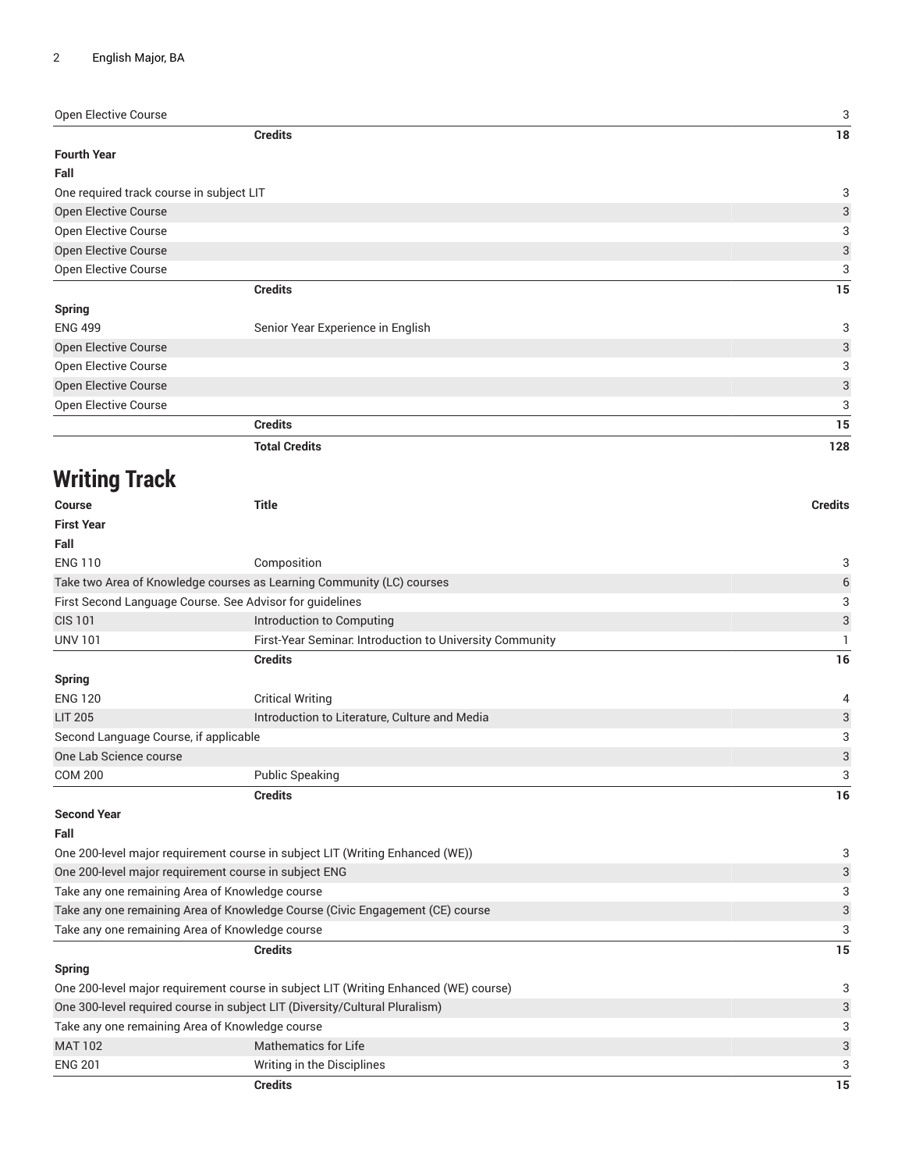Open Elective Course 3

| <b>Credits</b>                           |                                   | 18  |
|------------------------------------------|-----------------------------------|-----|
| <b>Fourth Year</b>                       |                                   |     |
| Fall                                     |                                   |     |
| One required track course in subject LIT |                                   | 3   |
| Open Elective Course                     |                                   | 3   |
| Open Elective Course                     |                                   | 3   |
| Open Elective Course                     |                                   | 3   |
| Open Elective Course                     |                                   | 3   |
|                                          | <b>Credits</b>                    | 15  |
| <b>Spring</b>                            |                                   |     |
| <b>ENG 499</b>                           | Senior Year Experience in English | 3   |
| Open Elective Course                     |                                   | 3   |
| Open Elective Course                     |                                   | 3   |
| Open Elective Course                     |                                   | 3   |
| Open Elective Course                     |                                   | 3   |
|                                          | <b>Credits</b>                    | 15  |
|                                          | <b>Total Credits</b>              | 128 |

## **Writing Track**

| Course                                                                               | <b>Title</b>                                                          | <b>Credits</b> |
|--------------------------------------------------------------------------------------|-----------------------------------------------------------------------|----------------|
| <b>First Year</b>                                                                    |                                                                       |                |
| Fall                                                                                 |                                                                       |                |
| <b>ENG 110</b>                                                                       | Composition                                                           | 3              |
|                                                                                      | Take two Area of Knowledge courses as Learning Community (LC) courses | 6              |
| First Second Language Course. See Advisor for guidelines                             | 3                                                                     |                |
| <b>CIS 101</b>                                                                       | Introduction to Computing                                             | 3              |
| <b>UNV 101</b>                                                                       | First-Year Seminar. Introduction to University Community              |                |
|                                                                                      | <b>Credits</b>                                                        | 16             |
| <b>Spring</b>                                                                        |                                                                       |                |
| <b>ENG 120</b>                                                                       | <b>Critical Writing</b>                                               | 4              |
| <b>LIT 205</b>                                                                       | Introduction to Literature, Culture and Media                         | 3              |
| Second Language Course, if applicable                                                | 3                                                                     |                |
| One Lab Science course                                                               |                                                                       | 3              |
| <b>COM 200</b>                                                                       | <b>Public Speaking</b>                                                | 3              |
|                                                                                      | <b>Credits</b>                                                        | 16             |
| <b>Second Year</b>                                                                   |                                                                       |                |
| Fall                                                                                 |                                                                       |                |
| One 200-level major requirement course in subject LIT (Writing Enhanced (WE))        | 3                                                                     |                |
| One 200-level major requirement course in subject ENG                                | 3                                                                     |                |
| Take any one remaining Area of Knowledge course                                      | 3                                                                     |                |
| Take any one remaining Area of Knowledge Course (Civic Engagement (CE) course        | 3                                                                     |                |
| Take any one remaining Area of Knowledge course                                      |                                                                       | 3              |
|                                                                                      | <b>Credits</b>                                                        | 15             |
| <b>Spring</b>                                                                        |                                                                       |                |
| One 200-level major requirement course in subject LIT (Writing Enhanced (WE) course) |                                                                       | 3              |
| One 300-level required course in subject LIT (Diversity/Cultural Pluralism)          | 3                                                                     |                |
|                                                                                      |                                                                       |                |

|                                                                               | Credits                    |  | 15 |
|-------------------------------------------------------------------------------|----------------------------|--|----|
| <b>ENG 201</b>                                                                | Writing in the Disciplines |  |    |
| <b>MAT 102</b>                                                                | Mathematics for Life       |  |    |
| Take any one remaining Area of Knowledge course                               |                            |  |    |
| . One 300-level required course in subject LTT (Diversity/Cultural Pluralism) |                            |  |    |